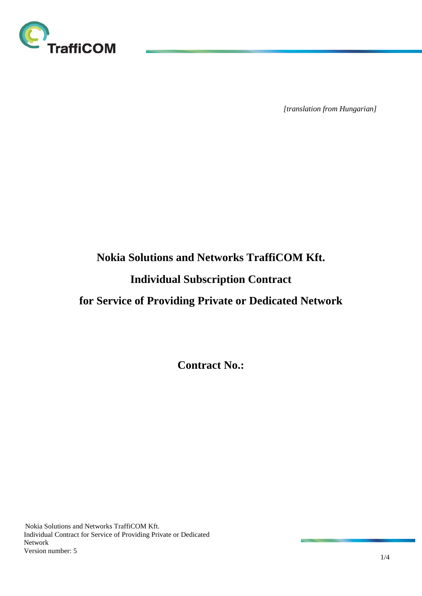

*[translation from Hungarian]*

## **Nokia Solutions and Networks TraffiCOM Kft.**

# **Individual Subscription Contract**

## **for Service of Providing Private or Dedicated Network**

**Contract No.:**

Nokia Solutions and Networks TraffiCOM Kft. Individual Contract for Service of Providing Private or Dedicated Network Version number: 5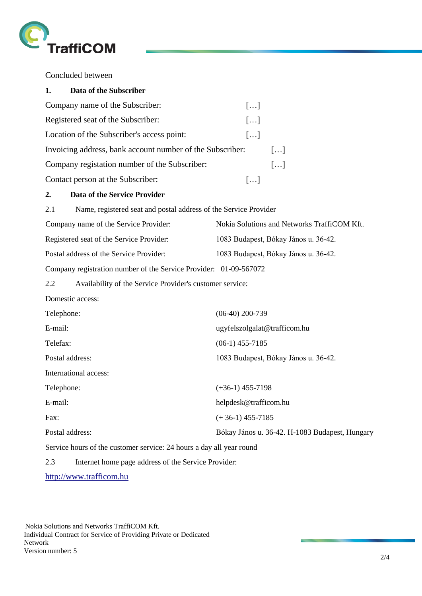

Concluded between

| 1.                                       | Data of the Subscriber                                               |                                                |  |
|------------------------------------------|----------------------------------------------------------------------|------------------------------------------------|--|
|                                          | Company name of the Subscriber:                                      | []                                             |  |
| Registered seat of the Subscriber:       |                                                                      | []                                             |  |
|                                          | Location of the Subscriber's access point:                           | []                                             |  |
|                                          | Invoicing address, bank account number of the Subscriber:            | $\left[\ldots\right]$                          |  |
|                                          | Company registation number of the Subscriber:                        | []                                             |  |
|                                          | Contact person at the Subscriber:                                    | []                                             |  |
| 2.                                       | <b>Data of the Service Provider</b>                                  |                                                |  |
| 2.1                                      | Name, registered seat and postal address of the Service Provider     |                                                |  |
|                                          | Company name of the Service Provider:                                | Nokia Solutions and Networks TraffiCOM Kft.    |  |
| Registered seat of the Service Provider: |                                                                      | 1083 Budapest, Bókay János u. 36-42.           |  |
| Postal address of the Service Provider:  |                                                                      | 1083 Budapest, Bókay János u. 36-42.           |  |
|                                          | Company registration number of the Service Provider: 01-09-567072    |                                                |  |
| 2.2                                      | Availability of the Service Provider's customer service:             |                                                |  |
|                                          | Domestic access:                                                     |                                                |  |
| Telephone:                               |                                                                      | $(06-40)$ 200-739                              |  |
| E-mail:                                  |                                                                      | ugyfelszolgalat@trafficom.hu                   |  |
| Telefax:                                 |                                                                      | $(06-1)$ 455-7185                              |  |
| Postal address:                          |                                                                      | 1083 Budapest, Bókay János u. 36-42.           |  |
|                                          | International access:                                                |                                                |  |
| Telephone:                               |                                                                      | $(+36-1)$ 455-7198                             |  |
| E-mail:                                  |                                                                      | helpdesk@trafficom.hu                          |  |
| Fax:                                     |                                                                      | $(+36-1)$ 455-7185                             |  |
| Postal address:                          |                                                                      | Bókay János u. 36-42. H-1083 Budapest, Hungary |  |
|                                          | Service hours of the customer service: 24 hours a day all year round |                                                |  |
| 2.3                                      | Internet home page address of the Service Provider:                  |                                                |  |

[http://www.trafficom.hu](http://www.trafficom.hu/)

Nokia Solutions and Networks TraffiCOM Kft. Individual Contract for Service of Providing Private or Dedicated Network Version number: 5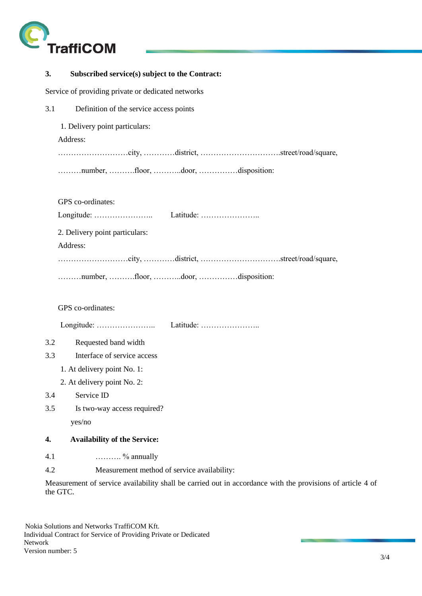

## **3. Subscribed service(s) subject to the Contract:**

Service of providing private or dedicated networks

3.1 Definition of the service access points

1. Delivery point particulars:

Address:

………………………city, …………district, ………………………….street/road/square,

………number, ……….floor, ………..door, ……………disposition:

GPS co-ordinates:

|                                | Latitude: |
|--------------------------------|-----------|
| 2. Delivery point particulars: |           |

Address:

………………………city, …………district, ………………………….street/road/square,

………number, ……….floor, ………..door, ……………disposition:

GPS co-ordinates:

Longitude: ………………….. Latitude: …………………..

3.2 Requested band width

- 3.3 Interface of service access
	- 1. At delivery point No. 1:
	- 2. At delivery point No. 2:
- 3.4 Service ID
- 3.5 Is two-way access required?

yes/no

#### **4. Availability of the Service:**

- 4.1  $\ldots \ldots \ldots \ldots$  % annually
- 4.2 Measurement method of service availability:

Measurement of service availability shall be carried out in accordance with the provisions of article 4 of the GTC.